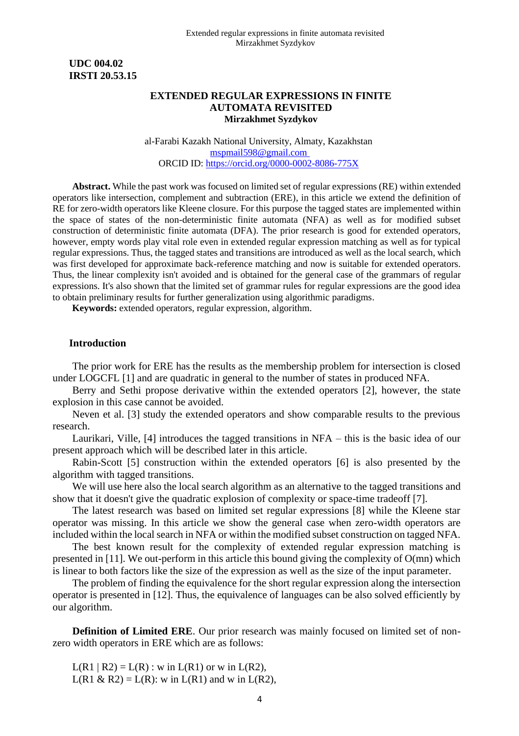**UDC 004.02 IRSTI 20.53.15**

## **EXTENDED REGULAR EXPRESSIONS IN FINITE AUTOMATA REVISITED Mirzakhmet Syzdykov**

al-Farabi Kazakh National University, Almaty, Kazakhstan [mspmail598@gmail.com](mailto:mspmail598@gmail.com)  ORCID ID: [https://orcid.org/](https://orcid.org/XXXX-XXXX-XXXX-XXXX)0000-0002-8086-775X

**Abstract.** While the past work was focused on limited set of regular expressions (RE) within extended operators like intersection, complement and subtraction (ERE), in this article we extend the definition of RE for zero-width operators like Kleene closure. For this purpose the tagged states are implemented within the space of states of the non-deterministic finite automata (NFA) as well as for modified subset construction of deterministic finite automata (DFA). The prior research is good for extended operators, however, empty words play vital role even in extended regular expression matching as well as for typical regular expressions. Thus, the tagged states and transitions are introduced as well as the local search, which was first developed for approximate back-reference matching and now is suitable for extended operators. Thus, the linear complexity isn't avoided and is obtained for the general case of the grammars of regular expressions. It's also shown that the limited set of grammar rules for regular expressions are the good idea to obtain preliminary results for further generalization using algorithmic paradigms.

**Keywords:** extended operators, regular expression, algorithm.

#### **Introduction**

The prior work for ERE has the results as the membership problem for intersection is closed under LOGCFL [1] and are quadratic in general to the number of states in produced NFA.

Berry and Sethi propose derivative within the extended operators [2], however, the state explosion in this case cannot be avoided.

Neven et al. [3] study the extended operators and show comparable results to the previous research.

Laurikari, Ville, [4] introduces the tagged transitions in NFA – this is the basic idea of our present approach which will be described later in this article.

Rabin-Scott [5] construction within the extended operators [6] is also presented by the algorithm with tagged transitions.

We will use here also the local search algorithm as an alternative to the tagged transitions and show that it doesn't give the quadratic explosion of complexity or space-time tradeoff [7].

The latest research was based on limited set regular expressions [8] while the Kleene star operator was missing. In this article we show the general case when zero-width operators are included within the local search in NFA or within the modified subset construction on tagged NFA.

The best known result for the complexity of extended regular expression matching is presented in [11]. We out-perform in this article this bound giving the complexity of O(mn) which is linear to both factors like the size of the expression as well as the size of the input parameter.

The problem of finding the equivalence for the short regular expression along the intersection operator is presented in [12]. Thus, the equivalence of languages can be also solved efficiently by our algorithm.

**Definition of Limited ERE**. Our prior research was mainly focused on limited set of nonzero width operators in ERE which are as follows:

 $L(R1 | R2) = L(R)$ : w in  $L(R1)$  or w in  $L(R2)$ ,  $L(R1 \& R2) = L(R)$ : w in  $L(R1)$  and w in  $L(R2)$ ,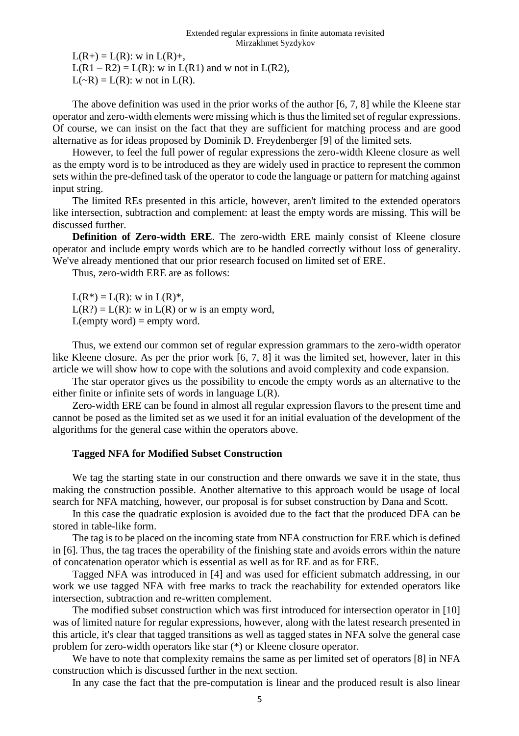$L(R+) = L(R)$ : w in  $L(R)$ +,

 $L(R1 - R2) = L(R)$ : w in  $L(R1)$  and w not in  $L(R2)$ ,

 $L(\sim R) = L(R)$ : w not in  $L(R)$ .

The above definition was used in the prior works of the author [6, 7, 8] while the Kleene star operator and zero-width elements were missing which is thus the limited set of regular expressions. Of course, we can insist on the fact that they are sufficient for matching process and are good alternative as for ideas proposed by Dominik D. Freydenberger [9] of the limited sets.

However, to feel the full power of regular expressions the zero-width Kleene closure as well as the empty word is to be introduced as they are widely used in practice to represent the common sets within the pre-defined task of the operator to code the language or pattern for matching against input string.

The limited REs presented in this article, however, aren't limited to the extended operators like intersection, subtraction and complement: at least the empty words are missing. This will be discussed further.

**Definition of Zero-width ERE**. The zero-width ERE mainly consist of Kleene closure operator and include empty words which are to be handled correctly without loss of generality. We've already mentioned that our prior research focused on limited set of ERE.

Thus, zero-width ERE are as follows:

 $L(R^*) = L(R)$ : w in  $L(R)^*$ ,  $L(R?) = L(R)$ : w in  $L(R)$  or w is an empty word,  $L$ (empty word) = empty word.

Thus, we extend our common set of regular expression grammars to the zero-width operator like Kleene closure. As per the prior work [6, 7, 8] it was the limited set, however, later in this article we will show how to cope with the solutions and avoid complexity and code expansion.

The star operator gives us the possibility to encode the empty words as an alternative to the either finite or infinite sets of words in language L(R).

Zero-width ERE can be found in almost all regular expression flavors to the present time and cannot be posed as the limited set as we used it for an initial evaluation of the development of the algorithms for the general case within the operators above.

# **Tagged NFA for Modified Subset Construction**

We tag the starting state in our construction and there onwards we save it in the state, thus making the construction possible. Another alternative to this approach would be usage of local search for NFA matching, however, our proposal is for subset construction by Dana and Scott.

In this case the quadratic explosion is avoided due to the fact that the produced DFA can be stored in table-like form.

The tag is to be placed on the incoming state from NFA construction for ERE which is defined in [6]. Thus, the tag traces the operability of the finishing state and avoids errors within the nature of concatenation operator which is essential as well as for RE and as for ERE.

Tagged NFA was introduced in [4] and was used for efficient submatch addressing, in our work we use tagged NFA with free marks to track the reachability for extended operators like intersection, subtraction and re-written complement.

The modified subset construction which was first introduced for intersection operator in [10] was of limited nature for regular expressions, however, along with the latest research presented in this article, it's clear that tagged transitions as well as tagged states in NFA solve the general case problem for zero-width operators like star (\*) or Kleene closure operator.

We have to note that complexity remains the same as per limited set of operators [8] in NFA construction which is discussed further in the next section.

In any case the fact that the pre-computation is linear and the produced result is also linear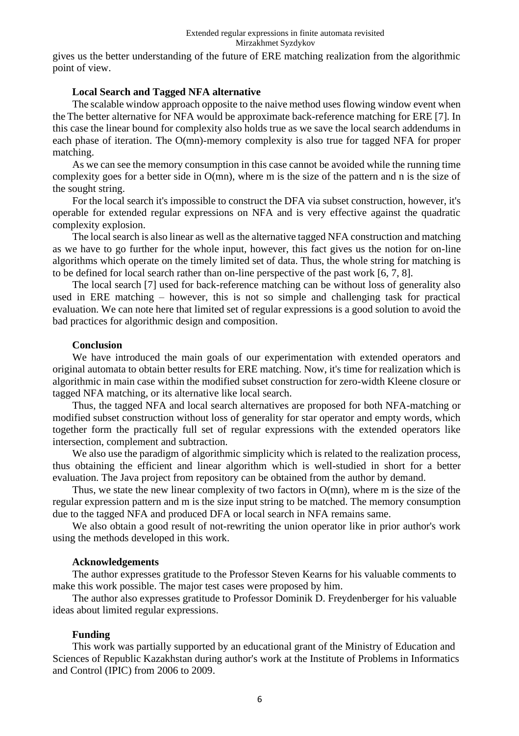gives us the better understanding of the future of ERE matching realization from the algorithmic point of view.

### **Local Search and Tagged NFA alternative**

The scalable window approach opposite to the naive method uses flowing window event when the The better alternative for NFA would be approximate back-reference matching for ERE [7]. In this case the linear bound for complexity also holds true as we save the local search addendums in each phase of iteration. The O(mn)-memory complexity is also true for tagged NFA for proper matching.

As we can see the memory consumption in this case cannot be avoided while the running time complexity goes for a better side in O(mn), where m is the size of the pattern and n is the size of the sought string.

For the local search it's impossible to construct the DFA via subset construction, however, it's operable for extended regular expressions on NFA and is very effective against the quadratic complexity explosion.

The local search is also linear as well as the alternative tagged NFA construction and matching as we have to go further for the whole input, however, this fact gives us the notion for on-line algorithms which operate on the timely limited set of data. Thus, the whole string for matching is to be defined for local search rather than on-line perspective of the past work [6, 7, 8].

The local search [7] used for back-reference matching can be without loss of generality also used in ERE matching – however, this is not so simple and challenging task for practical evaluation. We can note here that limited set of regular expressions is a good solution to avoid the bad practices for algorithmic design and composition.

#### **Conclusion**

We have introduced the main goals of our experimentation with extended operators and original automata to obtain better results for ERE matching. Now, it's time for realization which is algorithmic in main case within the modified subset construction for zero-width Kleene closure or tagged NFA matching, or its alternative like local search.

Thus, the tagged NFA and local search alternatives are proposed for both NFA-matching or modified subset construction without loss of generality for star operator and empty words, which together form the practically full set of regular expressions with the extended operators like intersection, complement and subtraction.

We also use the paradigm of algorithmic simplicity which is related to the realization process, thus obtaining the efficient and linear algorithm which is well-studied in short for a better evaluation. The Java project from repository can be obtained from the author by demand.

Thus, we state the new linear complexity of two factors in O(mn), where m is the size of the regular expression pattern and m is the size input string to be matched. The memory consumption due to the tagged NFA and produced DFA or local search in NFA remains same.

We also obtain a good result of not-rewriting the union operator like in prior author's work using the methods developed in this work.

### **Acknowledgements**

The author expresses gratitude to the Professor Steven Kearns for his valuable comments to make this work possible. The major test cases were proposed by him.

The author also expresses gratitude to Professor Dominik D. Freydenberger for his valuable ideas about limited regular expressions.

### **Funding**

This work was partially supported by an educational grant of the Ministry of Education and Sciences of Republic Kazakhstan during author's work at the Institute of Problems in Informatics and Control (IPIC) from 2006 to 2009.